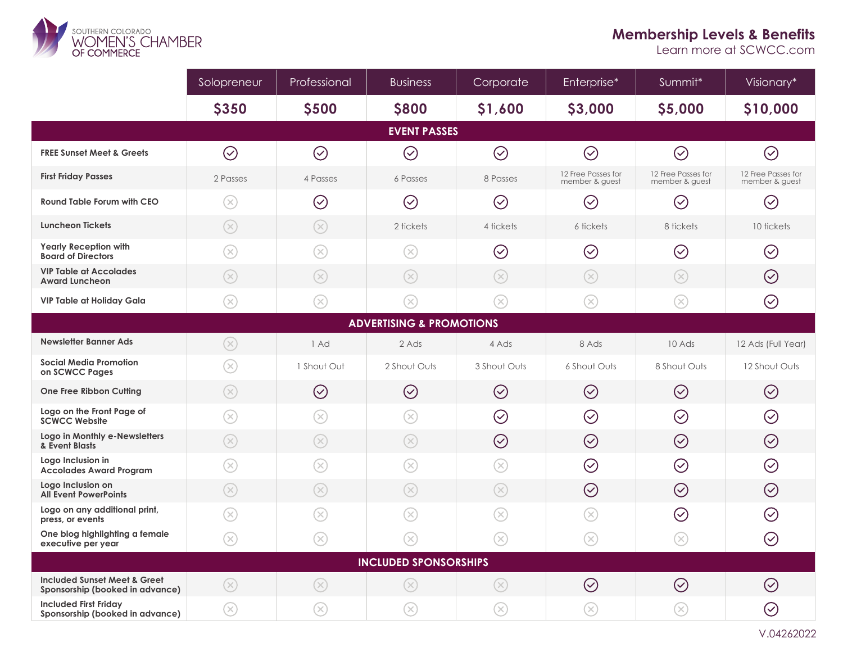

## **Membership Levels & Benefits**

Learn more at SCWCC.com

|                                                                            | Solopreneur                  | Professional                | <b>Business</b>         | Corporate                   | Enterprise*                          | Summit*                                  | Visionary*                           |
|----------------------------------------------------------------------------|------------------------------|-----------------------------|-------------------------|-----------------------------|--------------------------------------|------------------------------------------|--------------------------------------|
|                                                                            | <b>\$350</b>                 | <b>\$500</b>                | <b>\$800</b>            | \$1,600                     | \$3,000                              | \$5,000                                  | \$10,000                             |
| <b>EVENT PASSES</b>                                                        |                              |                             |                         |                             |                                      |                                          |                                      |
| <b>FREE Sunset Meet &amp; Greets</b>                                       | $\odot$                      | $\odot$                     | $\odot$                 | $\odot$                     | $\odot$                              | $\bigodot$                               | $\odot$                              |
| <b>First Friday Passes</b>                                                 | 2 Passes                     | 4 Passes                    | 6 Passes                | 8 Passes                    | 12 Free Passes for<br>member & quest | 12 Free Passes for<br>member & guest     | 12 Free Passes for<br>member & guest |
| <b>Round Table Forum with CEO</b>                                          | $\circledR$                  | $\oslash$                   | $\oslash$               | $\oslash$                   | $\bigcirc$                           | $\oslash$                                | $\bigcirc$                           |
| <b>Luncheon Tickets</b>                                                    | $\circledR$                  | $\circledR$                 | 2 tickets               | 4 tickets                   | 6 tickets                            | 8 tickets                                | 10 tickets                           |
| <b>Yearly Reception with</b><br><b>Board of Directors</b>                  | $\circledR$                  | $\left( \mathbf{\%}\right)$ | $\circledR$             | $\oslash$                   | $\oslash$                            | $\oslash$                                | $\oslash$                            |
| <b>VIP Table at Accolades</b><br><b>Award Luncheon</b>                     | $\circledR$                  | $\circledR$                 | $\circledR$             | $\circledR$                 | $\circledR$                          | $\circledR$                              | $\oslash$                            |
| <b>VIP Table at Holiday Gala</b>                                           | $\infty$                     | $(\!\%)$                    | $\left( \times \right)$ | $(\!\!\infty\!)$            | $\circledR$                          | $\left( \mathbf{\%}\right)$              | $\odot$                              |
| <b>ADVERTISING &amp; PROMOTIONS</b>                                        |                              |                             |                         |                             |                                      |                                          |                                      |
| Newsletter Banner Ads                                                      | $\circledR$                  | 1 Ad                        | 2 Ads                   | 4 Ads                       | 8 Ads                                | 10 Ads                                   | 12 Ads (Full Year)                   |
| <b>Social Media Promotion</b><br>on SCWCC Pages                            | $\circledR$                  | 1 Shout Out                 | 2 Shout Outs            | 3 Shout Outs                | 6 Shout Outs                         | 8 Shout Outs                             | 12 Shout Outs                        |
| One Free Ribbon Cutting                                                    | $\circledR$                  | $\odot$                     | $\odot$                 | $\odot$                     | $\odot$                              | $\odot$                                  | $\odot$                              |
| Logo on the Front Page of<br><b>SCWCC Website</b>                          | $\circledR$                  | $(\!\times\!)$              | $(\times)$              | $\oslash$                   | $\oslash$                            | $\oslash$                                | $\oslash$                            |
| Logo in Monthly e-Newsletters<br>& Event Blasts                            | $\circledR$                  | $(\times)$                  | $(\times)$              | $\odot$                     | $\odot$                              | $\bigodot$                               | $\odot$                              |
| Logo Inclusion in<br><b>Accolades Award Program</b>                        | $\circledR$                  | $\left( \text{\o} \right)$  | $\circledR$             | $\circledR$                 | $\odot$                              | $\odot$                                  | $\oslash$                            |
| Logo Inclusion on<br><b>All Event PowerPoints</b>                          | $\circledR$                  | $\circledR$                 | $\infty$                | $\left( \infty \right)$     | $\odot$                              | $\odot$                                  | $\oslash$                            |
| Logo on any additional print,<br>press, or events                          | $\circledR$                  | $(\!\times\!)$              | $(\times)$              | $(\!\times\!)$              | $\circledR$                          | $\oslash$                                | $\oslash$                            |
| One blog highlighting a female<br>executive per year                       | $\left( \!\! \infty \right)$ | $\circledR$                 | $\circledR$             | $\left( \infty \right)$     | $\circledR$                          | $\left( \right. \!\!\!\!\!\times\right)$ | $\odot$                              |
| <b>INCLUDED SPONSORSHIPS</b>                                               |                              |                             |                         |                             |                                      |                                          |                                      |
| <b>Included Sunset Meet &amp; Greet</b><br>Sponsorship (booked in advance) | $(\times)$                   | $\circledR$                 | $\circledR$             | $(\times)$                  | $\oslash$                            | $\oslash$                                | $\oslash$                            |
| <b>Included First Friday</b><br>Sponsorship (booked in advance)            | $\circledR$                  | $\left( \infty \right)$     | $\circledR$             | $\left( \mathbf{\%}\right)$ | $\circledR$                          | $\circledR$                              | $\odot$                              |